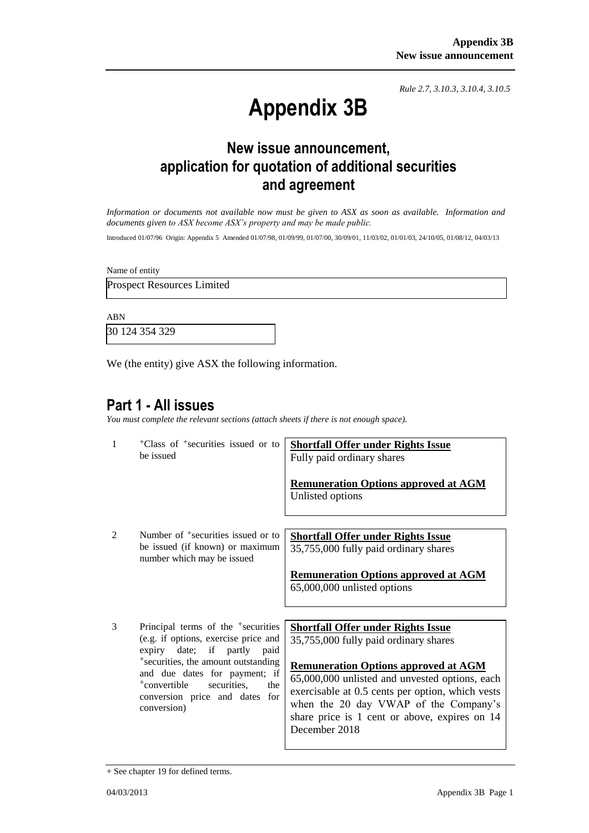*Rule 2.7, 3.10.3, 3.10.4, 3.10.5*

# **Appendix 3B**

## **New issue announcement, application for quotation of additional securities and agreement**

*Information or documents not available now must be given to ASX as soon as available. Information and documents given to ASX become ASX's property and may be made public.*

Introduced 01/07/96 Origin: Appendix 5 Amended 01/07/98, 01/09/99, 01/07/00, 30/09/01, 11/03/02, 01/01/03, 24/10/05, 01/08/12, 04/03/13

Name of entity

Prospect Resources Limited

ABN

30 124 354 329

We (the entity) give ASX the following information.

### **Part 1 - All issues**

*You must complete the relevant sections (attach sheets if there is not enough space).*

| $\mathbf{1}$   | <sup>+</sup> Class of <sup>+</sup> securities issued or to<br>be issued                                                                                                                                                                                                                             | <b>Shortfall Offer under Rights Issue</b><br>Fully paid ordinary shares<br><b>Remuneration Options approved at AGM</b><br>Unlisted options                                                                                                                                                                                                         |
|----------------|-----------------------------------------------------------------------------------------------------------------------------------------------------------------------------------------------------------------------------------------------------------------------------------------------------|----------------------------------------------------------------------------------------------------------------------------------------------------------------------------------------------------------------------------------------------------------------------------------------------------------------------------------------------------|
| $\mathfrak{D}$ | Number of <sup>+</sup> securities issued or to<br>be issued (if known) or maximum<br>number which may be issued                                                                                                                                                                                     | <b>Shortfall Offer under Rights Issue</b><br>35,755,000 fully paid ordinary shares<br><b>Remuneration Options approved at AGM</b><br>65,000,000 unlisted options                                                                                                                                                                                   |
| 3              | Principal terms of the <sup>+</sup> securities<br>(e.g. if options, exercise price and<br>expiry date; if partly paid<br><sup>+</sup> securities, the amount outstanding<br>and due dates for payment; if<br>$+$ convertible<br>securities,<br>the<br>conversion price and dates for<br>conversion) | <b>Shortfall Offer under Rights Issue</b><br>35,755,000 fully paid ordinary shares<br><b>Remuneration Options approved at AGM</b><br>65,000,000 unlisted and unvested options, each<br>exercisable at 0.5 cents per option, which vests<br>when the 20 day VWAP of the Company's<br>share price is 1 cent or above, expires on 14<br>December 2018 |

<sup>+</sup> See chapter 19 for defined terms.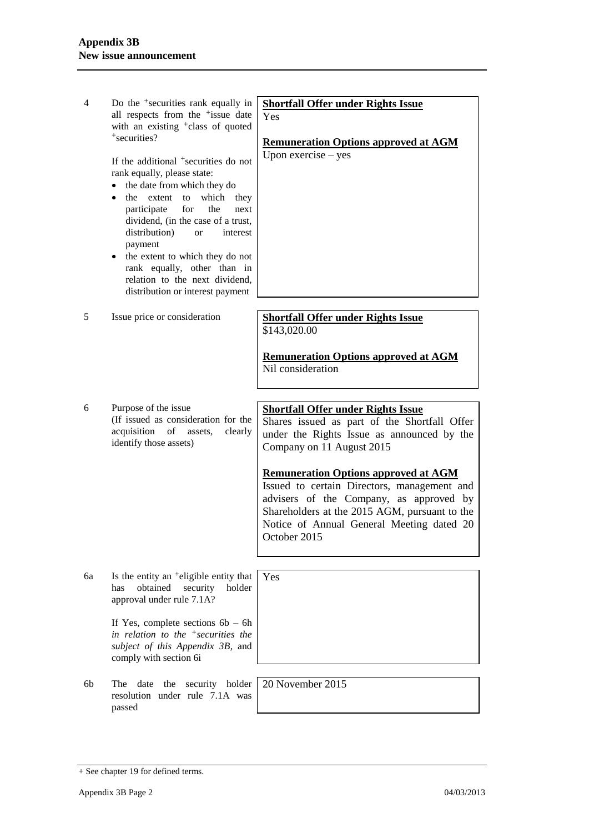| 4  | Do the <sup>+</sup> securities rank equally in<br>all respects from the <sup>+</sup> issue date<br>with an existing <sup>+</sup> class of quoted<br>+securities?<br>If the additional <sup>+</sup> securities do not<br>rank equally, please state:<br>the date from which they do<br>٠<br>which<br>the extent to<br>they<br>$\bullet$<br>participate<br>for<br>the<br>next<br>dividend, (in the case of a trust,<br>distribution)<br>interest<br><b>or</b><br>payment<br>the extent to which they do not<br>٠<br>rank equally, other than in<br>relation to the next dividend,<br>distribution or interest payment | <b>Shortfall Offer under Rights Issue</b><br>Yes<br><b>Remuneration Options approved at AGM</b><br>Upon exercise $-$ yes                                                                                                                                                                                                                                                                                                    |
|----|---------------------------------------------------------------------------------------------------------------------------------------------------------------------------------------------------------------------------------------------------------------------------------------------------------------------------------------------------------------------------------------------------------------------------------------------------------------------------------------------------------------------------------------------------------------------------------------------------------------------|-----------------------------------------------------------------------------------------------------------------------------------------------------------------------------------------------------------------------------------------------------------------------------------------------------------------------------------------------------------------------------------------------------------------------------|
| 5  | Issue price or consideration                                                                                                                                                                                                                                                                                                                                                                                                                                                                                                                                                                                        | <b>Shortfall Offer under Rights Issue</b><br>\$143,020.00<br><b>Remuneration Options approved at AGM</b><br>Nil consideration                                                                                                                                                                                                                                                                                               |
| 6  | Purpose of the issue<br>(If issued as consideration for the<br>acquisition of assets,<br>clearly<br>identify those assets)                                                                                                                                                                                                                                                                                                                                                                                                                                                                                          | <b>Shortfall Offer under Rights Issue</b><br>Shares issued as part of the Shortfall Offer<br>under the Rights Issue as announced by the<br>Company on 11 August 2015<br><b>Remuneration Options approved at AGM</b><br>Issued to certain Directors, management and<br>advisers of the Company, as approved by<br>Shareholders at the 2015 AGM, pursuant to the<br>Notice of Annual General Meeting dated 20<br>October 2015 |
| 6а | Is the entity an <sup>+</sup> eligible entity that<br>obtained<br>security<br>has<br>holder<br>approval under rule 7.1A?<br>If Yes, complete sections $6b - 6h$<br>in relation to the $\pm$ securities the<br>subject of this Appendix 3B, and<br>comply with section 6i                                                                                                                                                                                                                                                                                                                                            | Yes                                                                                                                                                                                                                                                                                                                                                                                                                         |
| 6b | date<br>the<br>security holder<br>The<br>resolution under rule 7.1A was<br>passed                                                                                                                                                                                                                                                                                                                                                                                                                                                                                                                                   | 20 November 2015                                                                                                                                                                                                                                                                                                                                                                                                            |

<sup>+</sup> See chapter 19 for defined terms.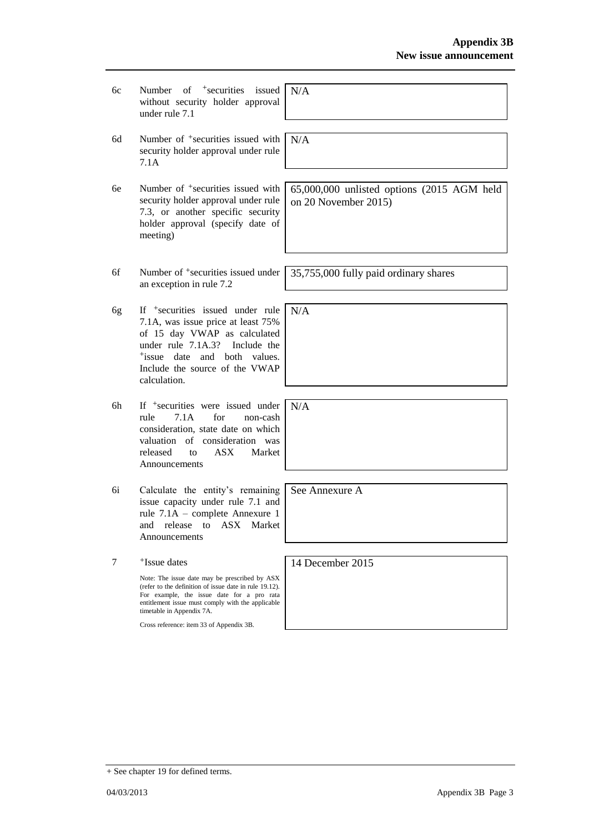- 6c Number of +securities issued without security holder approval under rule 7.1
- 6d Number of +securities issued with security holder approval under rule 7.1A
- 6e Number of +securities issued with security holder approval under rule 7.3, or another specific security holder approval (specify date of meeting)
- 6f Number of +securities issued under an exception in rule 7.2
- 6g If +securities issued under rule 7.1A, was issue price at least 75% of 15 day VWAP as calculated under rule 7.1A.3? Include the +issue date and both values. Include the source of the VWAP calculation.
- 6h If +securities were issued under rule 7.1A for non-cash consideration, state date on which valuation of consideration was released to ASX Market Announcements
- 6i Calculate the entity's remaining issue capacity under rule 7.1 and rule 7.1A – complete Annexure 1 and release to ASX Market Announcements

7 +Issue dates

> Note: The issue date may be prescribed by ASX (refer to the definition of issue date in rule 19.12). For example, the issue date for a pro rata entitlement issue must comply with the applicable timetable in Appendix 7A.

Cross reference: item 33 of Appendix 3B.

N/A

N/A

65,000,000 unlisted options (2015 AGM held on 20 November 2015)

35,755,000 fully paid ordinary shares

N/A

N/A

See Annexure A

14 December 2015

+ See chapter 19 for defined terms.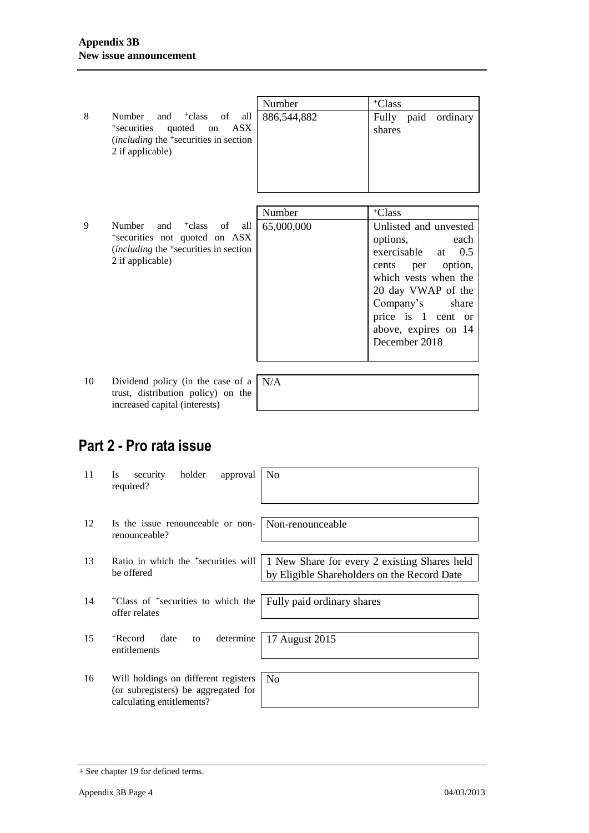|    |                                                                                                                                                                         | Number      | <sup>+</sup> Class                                                                                                                                                                                                               |
|----|-------------------------------------------------------------------------------------------------------------------------------------------------------------------------|-------------|----------------------------------------------------------------------------------------------------------------------------------------------------------------------------------------------------------------------------------|
| 8  | Number and <sup>+</sup> class of all<br><sup>+</sup> securities<br>quoted<br>ASX<br>on<br><i>(including the <sup>+</sup>securities in section</i> )<br>2 if applicable) | 886,544,882 | Fully paid<br>ordinary<br>shares                                                                                                                                                                                                 |
|    |                                                                                                                                                                         | Number      | <sup>+</sup> Class                                                                                                                                                                                                               |
| 9  | Number and <sup>+</sup> class of<br>all<br>*securities not quoted on ASX<br><i>(including the <sup>+</sup>securities in section</i> )<br>2 if applicable)               | 65,000,000  | Unlisted and unvested<br>options,<br>each<br>0.5<br>exercisable at<br>option,<br>per<br>cents<br>which vests when the<br>20 day VWAP of the<br>Company's<br>share<br>price is 1 cent or<br>above, expires on 14<br>December 2018 |
| 10 | Dividend policy (in the case of a $\vert N/A \rangle$                                                                                                                   |             |                                                                                                                                                                                                                                  |

trust, distribution policy) on the increased capital (interests)

# **Part 2 - Pro rata issue**

| 11 | holder<br>security<br>approval<br><b>Is</b><br>required?                                                 | N <sub>0</sub>                                                                              |
|----|----------------------------------------------------------------------------------------------------------|---------------------------------------------------------------------------------------------|
|    |                                                                                                          |                                                                                             |
| 12 | Is the issue renounceable or non-<br>renounceable?                                                       | Non-renounceable                                                                            |
|    |                                                                                                          |                                                                                             |
| 13 | Ratio in which the <sup>+</sup> securities will<br>be offered                                            | 1 New Share for every 2 existing Shares held<br>by Eligible Shareholders on the Record Date |
|    |                                                                                                          |                                                                                             |
| 14 | <sup>+</sup> Class of <sup>+</sup> securities to which the<br>offer relates                              | Fully paid ordinary shares                                                                  |
|    |                                                                                                          |                                                                                             |
| 15 | determine<br><sup>+</sup> Record<br>date<br>to<br>entitlements                                           | 17 August 2015                                                                              |
|    |                                                                                                          |                                                                                             |
| 16 | Will holdings on different registers<br>(or subregisters) be aggregated for<br>calculating entitlements? | N <sub>0</sub>                                                                              |
|    |                                                                                                          |                                                                                             |

<sup>+</sup> See chapter 19 for defined terms.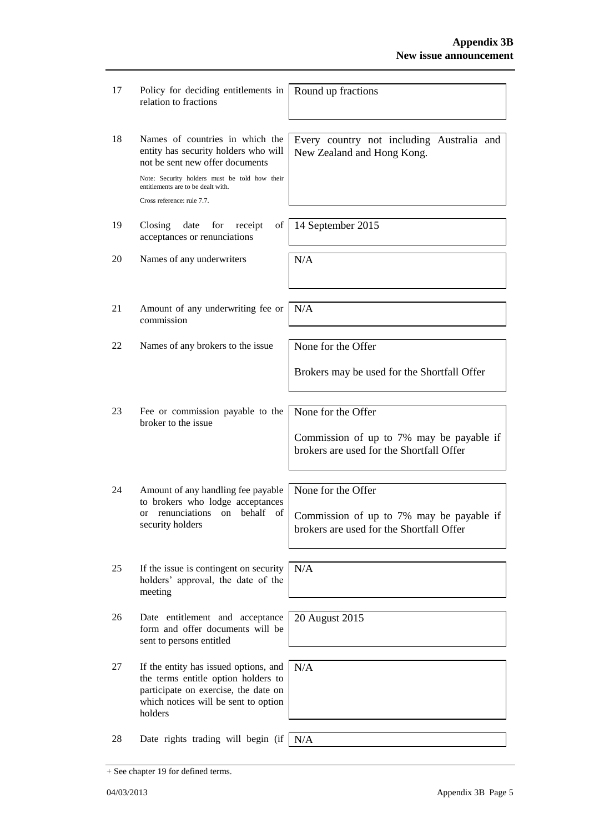| 17 | Policy for deciding entitlements in<br>relation to fractions                                                                                                                                      | Round up fractions                                                                                         |
|----|---------------------------------------------------------------------------------------------------------------------------------------------------------------------------------------------------|------------------------------------------------------------------------------------------------------------|
| 18 | Names of countries in which the<br>entity has security holders who will<br>not be sent new offer documents<br>Note: Security holders must be told how their<br>entitlements are to be dealt with. | Every country not including Australia and<br>New Zealand and Hong Kong.                                    |
|    | Cross reference: rule 7.7.                                                                                                                                                                        |                                                                                                            |
| 19 | Closing<br>date<br>of<br>for<br>receipt<br>acceptances or renunciations                                                                                                                           | 14 September 2015                                                                                          |
| 20 | Names of any underwriters                                                                                                                                                                         | N/A                                                                                                        |
| 21 | Amount of any underwriting fee or<br>commission                                                                                                                                                   | N/A                                                                                                        |
| 22 | Names of any brokers to the issue                                                                                                                                                                 | None for the Offer                                                                                         |
|    |                                                                                                                                                                                                   | Brokers may be used for the Shortfall Offer                                                                |
| 23 | Fee or commission payable to the<br>broker to the issue                                                                                                                                           | None for the Offer<br>Commission of up to 7% may be payable if<br>brokers are used for the Shortfall Offer |
| 24 | Amount of any handling fee payable<br>to brokers who lodge acceptances<br>renunciations on behalf of<br><sub>or</sub><br>security holders                                                         | None for the Offer<br>Commission of up to 7% may be payable if<br>brokers are used for the Shortfall Offer |
| 25 | If the issue is contingent on security<br>holders' approval, the date of the<br>meeting                                                                                                           | N/A                                                                                                        |
| 26 | Date entitlement and acceptance<br>form and offer documents will be<br>sent to persons entitled                                                                                                   | 20 August 2015                                                                                             |
| 27 | If the entity has issued options, and<br>the terms entitle option holders to<br>participate on exercise, the date on<br>which notices will be sent to option<br>holders                           | N/A                                                                                                        |
| 28 | Date rights trading will begin (if                                                                                                                                                                | N/A                                                                                                        |

<sup>+</sup> See chapter 19 for defined terms.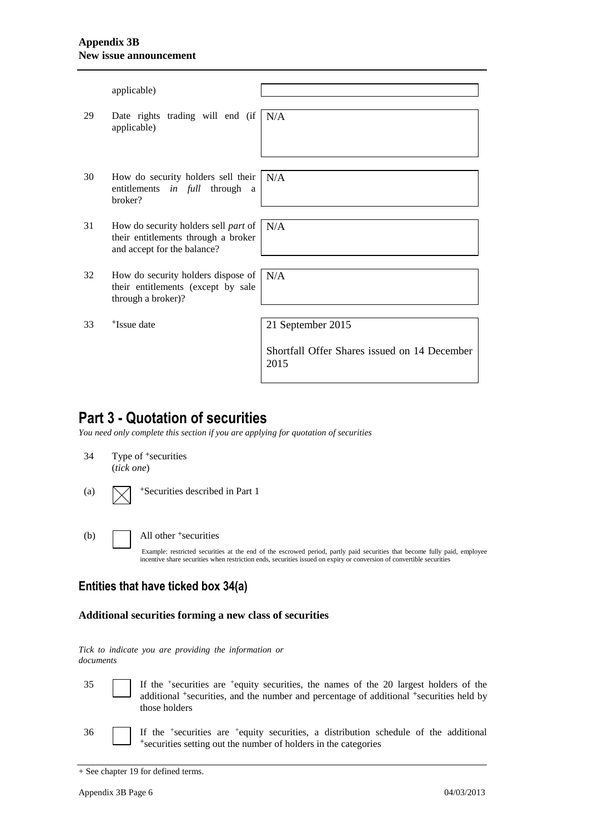#### **Appendix 3B New issue announcement**

|    | applicable)                                                                                                |                                                                           |
|----|------------------------------------------------------------------------------------------------------------|---------------------------------------------------------------------------|
| 29 | Date rights trading will end (if $N/A$ )<br>applicable)                                                    |                                                                           |
| 30 | How do security holders sell their<br>entitlements in full through<br>a.<br>broker?                        | N/A                                                                       |
| 31 | How do security holders sell part of<br>their entitlements through a broker<br>and accept for the balance? | N/A                                                                       |
| 32 | How do security holders dispose of<br>their entitlements (except by sale<br>through a broker)?             | N/A                                                                       |
| 33 | <sup>+</sup> Issue date                                                                                    | 21 September 2015<br>Shortfall Offer Shares issued on 14 December<br>2015 |

## **Part 3 - Quotation of securities**

*You need only complete this section if you are applying for quotation of securities*

34 Type of <sup>+</sup>securities (*tick one*)

(a)  $\sqrt{\phantom{a}}$  +Securities described in Part 1

#### (b) All other + securities

Example: restricted securities at the end of the escrowed period, partly paid securities that become fully paid, employee incentive share securities when restriction ends, securities issued on expiry or conversion of convertible securities

#### **Entities that have ticked box 34(a)**

#### **Additional securities forming a new class of securities**

*Tick to indicate you are providing the information or documents*

35 If the <sup>+</sup> securities are <sup>+</sup>equity securities, the names of the 20 largest holders of the additional <sup>+</sup>securities, and the number and percentage of additional <sup>+</sup>securities held by those holders

36 If the <sup>+</sup> securities are <sup>+</sup>equity securities, a distribution schedule of the additional +securities setting out the number of holders in the categories

<sup>+</sup> See chapter 19 for defined terms.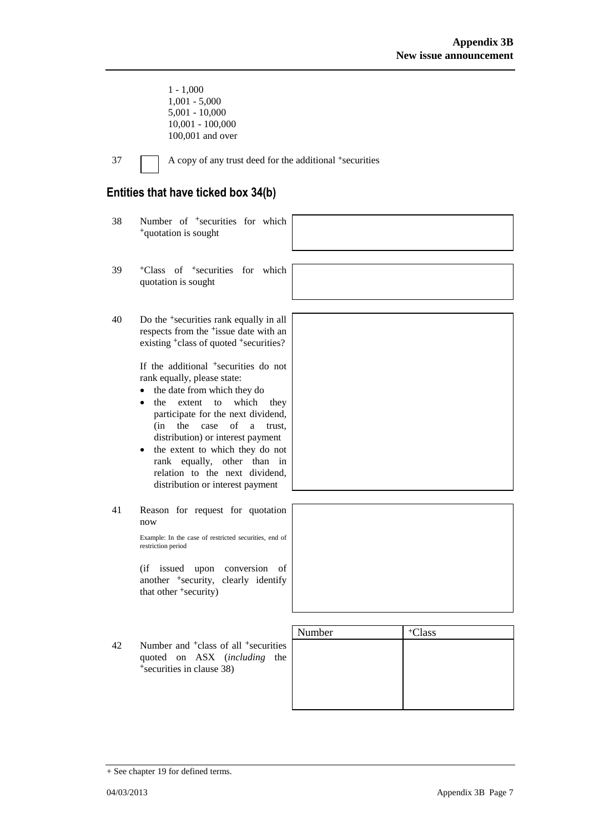1 - 1,000 1,001 - 5,000 5,001 - 10,000 10,001 - 100,000 100,001 and over

37 A copy of any trust deed for the additional +securities

### **Entities that have ticked box 34(b)**

|    | ועודט געוויינט טאטו ואווי פאווויינ                                                                                                                                                                                                                                                                                                                                                                                                                                                                                                                                                            |        |                    |
|----|-----------------------------------------------------------------------------------------------------------------------------------------------------------------------------------------------------------------------------------------------------------------------------------------------------------------------------------------------------------------------------------------------------------------------------------------------------------------------------------------------------------------------------------------------------------------------------------------------|--------|--------------------|
| 38 | Number of <sup>+</sup> securities for which<br><sup>+</sup> quotation is sought                                                                                                                                                                                                                                                                                                                                                                                                                                                                                                               |        |                    |
| 39 | <sup>+</sup> Class of <sup>+</sup> securities for which<br>quotation is sought                                                                                                                                                                                                                                                                                                                                                                                                                                                                                                                |        |                    |
| 40 | Do the <sup>+</sup> securities rank equally in all<br>respects from the <sup>+</sup> issue date with an<br>existing <sup>+</sup> class of quoted <sup>+</sup> securities?<br>If the additional <sup>+</sup> securities do not<br>rank equally, please state:<br>the date from which they do<br>which<br>the<br>extent<br>to<br>they<br>participate for the next dividend,<br>case of<br>$(in$ the<br>a<br>trust,<br>distribution) or interest payment<br>the extent to which they do not<br>rank equally, other than in<br>relation to the next dividend,<br>distribution or interest payment |        |                    |
| 41 | Reason for request for quotation<br>now<br>Example: In the case of restricted securities, end of<br>restriction period<br>(if issued upon conversion<br>of<br>another <sup>+</sup> security, clearly identify<br>that other <sup>+</sup> security)                                                                                                                                                                                                                                                                                                                                            |        |                    |
| 42 | Number and <sup>+</sup> class of all <sup>+</sup> securities<br>quoted on ASX (including<br>the<br><sup>+</sup> securities in clause 38)                                                                                                                                                                                                                                                                                                                                                                                                                                                      | Number | <sup>+</sup> Class |

<sup>+</sup> See chapter 19 for defined terms.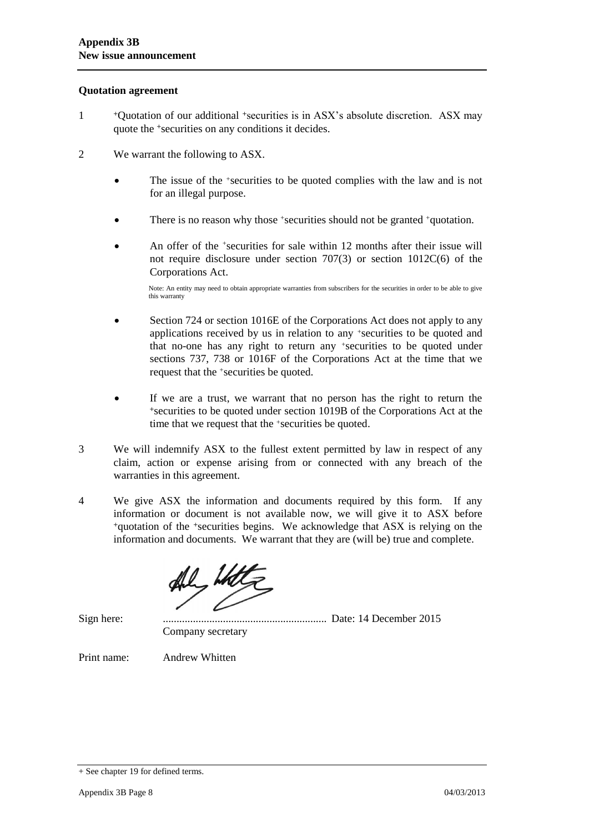#### **Quotation agreement**

- 1 <sup>+</sup>Quotation of our additional +securities is in ASX's absolute discretion. ASX may quote the +securities on any conditions it decides.
- 2 We warrant the following to ASX.
	- The issue of the +securities to be quoted complies with the law and is not for an illegal purpose.
	- There is no reason why those +securities should not be granted +quotation.
	- An offer of the <sup>+</sup>securities for sale within 12 months after their issue will not require disclosure under section 707(3) or section 1012C(6) of the Corporations Act.

Note: An entity may need to obtain appropriate warranties from subscribers for the securities in order to be able to give this warranty

- Section 724 or section 1016E of the Corporations Act does not apply to any applications received by us in relation to any +securities to be quoted and that no-one has any right to return any +securities to be quoted under sections 737, 738 or 1016F of the Corporations Act at the time that we request that the +securities be quoted.
- If we are a trust, we warrant that no person has the right to return the <sup>+</sup>securities to be quoted under section 1019B of the Corporations Act at the time that we request that the +securities be quoted.
- 3 We will indemnify ASX to the fullest extent permitted by law in respect of any claim, action or expense arising from or connected with any breach of the warranties in this agreement.
- 4 We give ASX the information and documents required by this form. If any information or document is not available now, we will give it to ASX before <sup>+</sup>quotation of the +securities begins. We acknowledge that ASX is relying on the information and documents. We warrant that they are (will be) true and complete.

Sign here: ............................................................ Date: 14 December 2015 Company secretary

Print name: Andrew Whitten

<sup>+</sup> See chapter 19 for defined terms.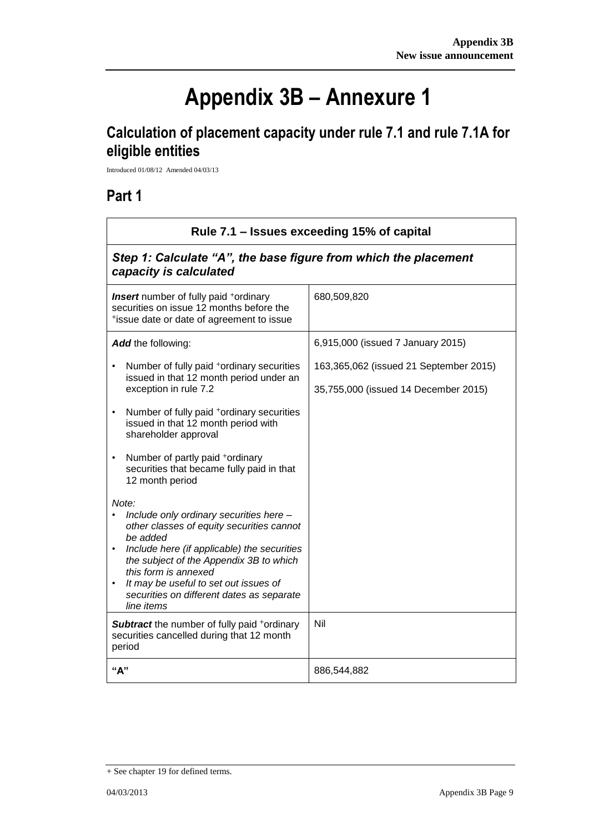ī

# **Appendix 3B – Annexure 1**

# **Calculation of placement capacity under rule 7.1 and rule 7.1A for eligible entities**

Introduced 01/08/12 Amended 04/03/13

## **Part 1**

 $\mathsf{r}$ 

| Rule 7.1 – Issues exceeding 15% of capital                                                                                                                                                                                                                                                                                                                |                                                                                |  |
|-----------------------------------------------------------------------------------------------------------------------------------------------------------------------------------------------------------------------------------------------------------------------------------------------------------------------------------------------------------|--------------------------------------------------------------------------------|--|
| Step 1: Calculate "A", the base figure from which the placement<br>capacity is calculated                                                                                                                                                                                                                                                                 |                                                                                |  |
| <b>Insert</b> number of fully paid <sup>+</sup> ordinary<br>securities on issue 12 months before the<br>*issue date or date of agreement to issue                                                                                                                                                                                                         | 680,509,820                                                                    |  |
| Add the following:                                                                                                                                                                                                                                                                                                                                        | 6,915,000 (issued 7 January 2015)                                              |  |
| Number of fully paid <sup>+</sup> ordinary securities<br>$\bullet$<br>issued in that 12 month period under an<br>exception in rule 7.2                                                                                                                                                                                                                    | 163,365,062 (issued 21 September 2015)<br>35,755,000 (issued 14 December 2015) |  |
| Number of fully paid *ordinary securities<br>$\bullet$<br>issued in that 12 month period with<br>shareholder approval                                                                                                                                                                                                                                     |                                                                                |  |
| Number of partly paid +ordinary<br>$\bullet$<br>securities that became fully paid in that<br>12 month period                                                                                                                                                                                                                                              |                                                                                |  |
| Note:<br>Include only ordinary securities here -<br>$\bullet$<br>other classes of equity securities cannot<br>be added<br>Include here (if applicable) the securities<br>$\bullet$<br>the subject of the Appendix 3B to which<br>this form is annexed<br>It may be useful to set out issues of<br>securities on different dates as separate<br>line items |                                                                                |  |
| <b>Subtract</b> the number of fully paid +ordinary<br>securities cancelled during that 12 month<br>period                                                                                                                                                                                                                                                 | Nil                                                                            |  |
| "А"                                                                                                                                                                                                                                                                                                                                                       | 886,544,882                                                                    |  |

<sup>+</sup> See chapter 19 for defined terms.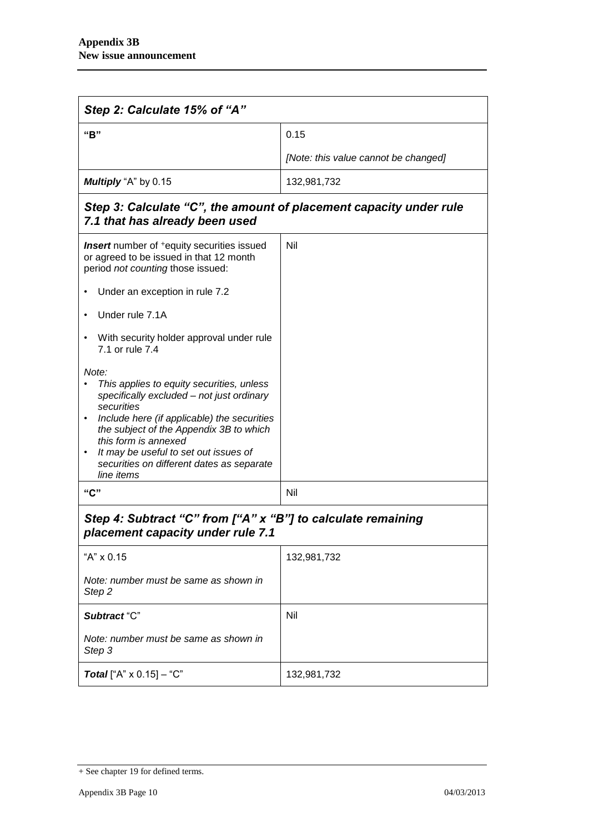| Step 2: Calculate 15% of "A"                                                                                                                                                                                                                                                                                                                     |                                      |  |
|--------------------------------------------------------------------------------------------------------------------------------------------------------------------------------------------------------------------------------------------------------------------------------------------------------------------------------------------------|--------------------------------------|--|
| "B"                                                                                                                                                                                                                                                                                                                                              | 0.15                                 |  |
|                                                                                                                                                                                                                                                                                                                                                  | [Note: this value cannot be changed] |  |
| Multiply "A" by 0.15                                                                                                                                                                                                                                                                                                                             | 132,981,732                          |  |
| Step 3: Calculate "C", the amount of placement capacity under rule<br>7.1 that has already been used                                                                                                                                                                                                                                             |                                      |  |
| <b>Insert</b> number of <sup>+</sup> equity securities issued<br>or agreed to be issued in that 12 month<br>period not counting those issued:                                                                                                                                                                                                    | Nil                                  |  |
| Under an exception in rule 7.2                                                                                                                                                                                                                                                                                                                   |                                      |  |
| Under rule 7.1A                                                                                                                                                                                                                                                                                                                                  |                                      |  |
| With security holder approval under rule<br>7.1 or rule 7.4                                                                                                                                                                                                                                                                                      |                                      |  |
| Note:<br>This applies to equity securities, unless<br>specifically excluded - not just ordinary<br>securities<br>Include here (if applicable) the securities<br>the subject of the Appendix 3B to which<br>this form is annexed<br>It may be useful to set out issues of<br>$\bullet$<br>securities on different dates as separate<br>line items |                                      |  |
| "C"                                                                                                                                                                                                                                                                                                                                              | Nil                                  |  |
| Step 4: Subtract "C" from ["A" x "B"] to calculate remaining<br>placement capacity under rule 7.1                                                                                                                                                                                                                                                |                                      |  |
| "A" x 0.15                                                                                                                                                                                                                                                                                                                                       | 132,981,732                          |  |
| Note: number must be same as shown in<br>Step <sub>2</sub>                                                                                                                                                                                                                                                                                       |                                      |  |
| Subtract "C"                                                                                                                                                                                                                                                                                                                                     | Nil                                  |  |
| Note: number must be same as shown in<br>Step 3                                                                                                                                                                                                                                                                                                  |                                      |  |
| <b>Total</b> ["A" $\times$ 0.15] – "C"                                                                                                                                                                                                                                                                                                           | 132,981,732                          |  |

<sup>+</sup> See chapter 19 for defined terms.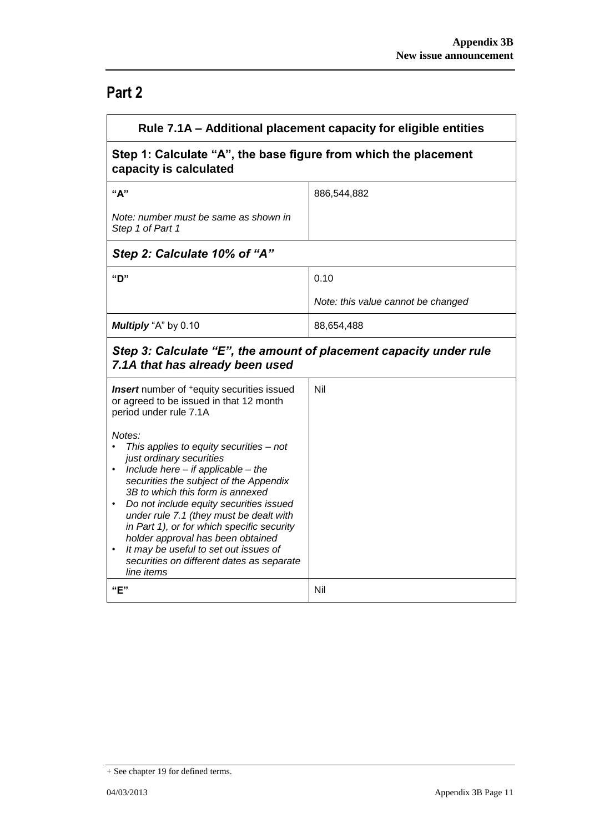## **Part 2**

| Rule 7.1A – Additional placement capacity for eligible entities                                                                                                                                                                                                                                                                                                                                                                                                                                                           |                                    |  |
|---------------------------------------------------------------------------------------------------------------------------------------------------------------------------------------------------------------------------------------------------------------------------------------------------------------------------------------------------------------------------------------------------------------------------------------------------------------------------------------------------------------------------|------------------------------------|--|
| Step 1: Calculate "A", the base figure from which the placement<br>capacity is calculated                                                                                                                                                                                                                                                                                                                                                                                                                                 |                                    |  |
| "A"                                                                                                                                                                                                                                                                                                                                                                                                                                                                                                                       | 886,544,882                        |  |
| Note: number must be same as shown in<br>Step 1 of Part 1                                                                                                                                                                                                                                                                                                                                                                                                                                                                 |                                    |  |
| Step 2: Calculate 10% of "A"                                                                                                                                                                                                                                                                                                                                                                                                                                                                                              |                                    |  |
| "D"                                                                                                                                                                                                                                                                                                                                                                                                                                                                                                                       | 0.10                               |  |
|                                                                                                                                                                                                                                                                                                                                                                                                                                                                                                                           | Note: this value cannot be changed |  |
| Multiply "A" by 0.10                                                                                                                                                                                                                                                                                                                                                                                                                                                                                                      | 88,654,488                         |  |
| Step 3: Calculate "E", the amount of placement capacity under rule<br>7.1A that has already been used                                                                                                                                                                                                                                                                                                                                                                                                                     |                                    |  |
| <b>Insert</b> number of <sup>+</sup> equity securities issued<br>or agreed to be issued in that 12 month<br>period under rule 7.1A                                                                                                                                                                                                                                                                                                                                                                                        | Nil                                |  |
| Notes:<br>This applies to equity securities - not<br>just ordinary securities<br>Include here $-$ if applicable $-$ the<br>$\bullet$<br>securities the subject of the Appendix<br>3B to which this form is annexed<br>Do not include equity securities issued<br>$\bullet$<br>under rule 7.1 (they must be dealt with<br>in Part 1), or for which specific security<br>holder approval has been obtained<br>It may be useful to set out issues of<br>$\bullet$<br>securities on different dates as separate<br>line items |                                    |  |
| "E"                                                                                                                                                                                                                                                                                                                                                                                                                                                                                                                       | Nil                                |  |

<sup>+</sup> See chapter 19 for defined terms.